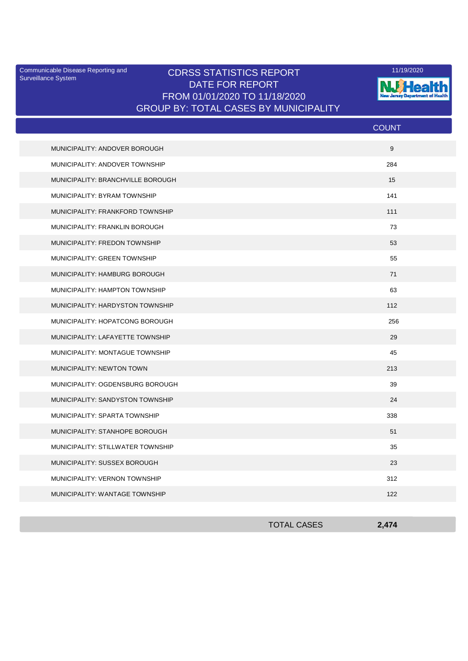Surveillance System

## Communicable Disease Reporting and **CDRSS STATISTICS REPORT** 11/19/2020<br>Surveillance Statem DATE FOR REPORT FROM 01/01/2020 TO 11/18/2020 GROUP BY: TOTAL CASES BY MUNICIPALITY



|                                   | <b>COUNT</b> |
|-----------------------------------|--------------|
| MUNICIPALITY: ANDOVER BOROUGH     | 9            |
| MUNICIPALITY: ANDOVER TOWNSHIP    | 284          |
| MUNICIPALITY: BRANCHVILLE BOROUGH | 15           |
| MUNICIPALITY: BYRAM TOWNSHIP      | 141          |
| MUNICIPALITY: FRANKFORD TOWNSHIP  | 111          |
| MUNICIPALITY: FRANKLIN BOROUGH    | 73           |
| MUNICIPALITY: FREDON TOWNSHIP     | 53           |
| MUNICIPALITY: GREEN TOWNSHIP      | 55           |
| MUNICIPALITY: HAMBURG BOROUGH     | 71           |
| MUNICIPALITY: HAMPTON TOWNSHIP    | 63           |
| MUNICIPALITY: HARDYSTON TOWNSHIP  | 112          |
| MUNICIPALITY: HOPATCONG BOROUGH   | 256          |
| MUNICIPALITY: LAFAYETTE TOWNSHIP  | 29           |
| MUNICIPALITY: MONTAGUE TOWNSHIP   | 45           |
| MUNICIPALITY: NEWTON TOWN         | 213          |
| MUNICIPALITY: OGDENSBURG BOROUGH  | 39           |
| MUNICIPALITY: SANDYSTON TOWNSHIP  | 24           |
| MUNICIPALITY: SPARTA TOWNSHIP     | 338          |
| MUNICIPALITY: STANHOPE BOROUGH    | 51           |
| MUNICIPALITY: STILLWATER TOWNSHIP | 35           |
| MUNICIPALITY: SUSSEX BOROUGH      | 23           |
| MUNICIPALITY: VERNON TOWNSHIP     | 312          |
| MUNICIPALITY: WANTAGE TOWNSHIP    | 122          |

| <b>TOTAL CASES</b> | 2,474 |
|--------------------|-------|
|                    |       |